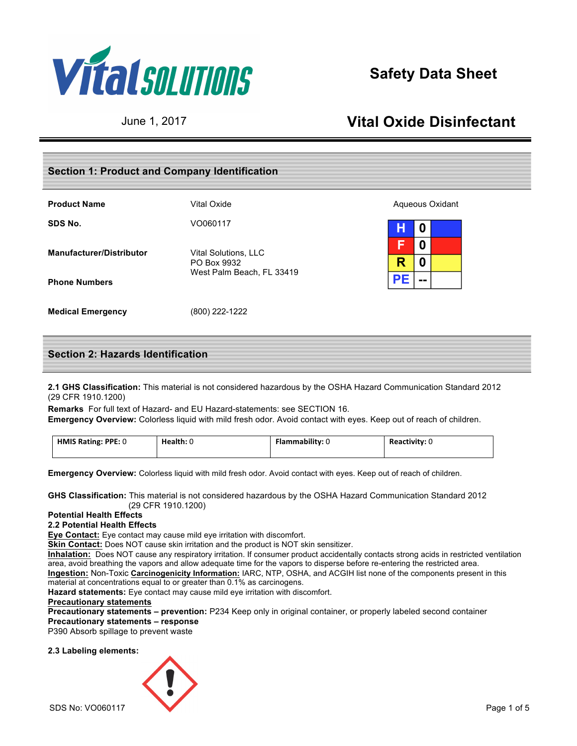

# **Safety Data Sheet**

# June 1, 2017 **Vital Oxide Disinfectant**

## **Section 1: Product and Company Identification**

| <b>Product Name</b>             | Vital Oxide                         | Aqueous Oxidant                |
|---------------------------------|-------------------------------------|--------------------------------|
| SDS No.                         | VO060117                            | н<br>0                         |
| <b>Manufacturer/Distributor</b> | Vital Solutions, LLC<br>PO Box 9932 | 0<br>E<br>R<br>O               |
| <b>Phone Numbers</b>            | West Palm Beach, FL 33419           | PE<br>$\overline{\phantom{a}}$ |
| <b>Medical Emergency</b>        | (800) 222-1222                      |                                |

## **Section 2: Hazards Identification**

**2.1 GHS Classification:** This material is not considered hazardous by the OSHA Hazard Communication Standard 2012 (29 CFR 1910.1200)

**Remarks** For full text of Hazard- and EU Hazard-statements: see SECTION 16. **Emergency Overview:** Colorless liquid with mild fresh odor. Avoid contact with eyes. Keep out of reach of children.

| HMIS Rating: PPE: 0 | Health: U | <b>Flammability:</b> 0 | Reactivity: 0 |
|---------------------|-----------|------------------------|---------------|
|---------------------|-----------|------------------------|---------------|

**Emergency Overview:** Colorless liquid with mild fresh odor. Avoid contact with eyes. Keep out of reach of children.

**GHS Classification:** This material is not considered hazardous by the OSHA Hazard Communication Standard 2012 (29 CFR 1910.1200)

## **Potential Health Effects**

## **2.2 Potential Health Effects**

**Eye Contact:** Eye contact may cause mild eye irritation with discomfort.

**Skin Contact:** Does NOT cause skin irritation and the product is NOT skin sensitizer.

**Inhalation:** Does NOT cause any respiratory irritation. If consumer product accidentally contacts strong acids in restricted ventilation area, avoid breathing the vapors and allow adequate time for the vapors to disperse before re-entering the restricted area. **Ingestion:** Non-Toxic **Carcinogenicity Information:** IARC, NTP, OSHA, and ACGIH list none of the components present in this material at concentrations equal to or greater than 0.1% as carcinogens.

**Hazard statements:** Eye contact may cause mild eye irritation with discomfort.

## **Precautionary statements**

**Precautionary statements – prevention:** P234 Keep only in original container, or properly labeled second container **Precautionary statements – response**

P390 Absorb spillage to prevent waste

### **2.3 Labeling elements:**

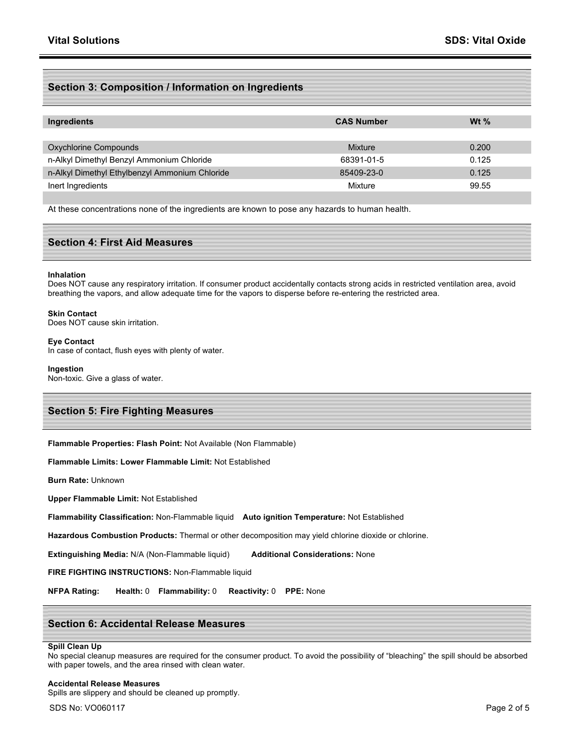## **Section 3: Composition / Information on Ingredients**

| Ingredients                                    | <b>CAS Number</b> | W <sub>t</sub> $\%$ |
|------------------------------------------------|-------------------|---------------------|
|                                                |                   |                     |
| Oxychlorine Compounds                          | Mixture           | 0.200               |
| n-Alkyl Dimethyl Benzyl Ammonium Chloride      | 68391-01-5        | 0.125               |
| n-Alkyl Dimethyl Ethylbenzyl Ammonium Chloride | 85409-23-0        | 0.125               |
| Inert Ingredients                              | Mixture           | 99.55               |

At these concentrations none of the ingredients are known to pose any hazards to human health.

## **Section 4: First Aid Measures**

#### **Inhalation**

Does NOT cause any respiratory irritation. If consumer product accidentally contacts strong acids in restricted ventilation area, avoid breathing the vapors, and allow adequate time for the vapors to disperse before re-entering the restricted area.

#### **Skin Contact**

Does NOT cause skin irritation.

#### **Eye Contact** In case of contact, flush eyes with plenty of water.

## **Ingestion**

Non-toxic. Give a glass of water.

### **Section 5: Fire Fighting Measures**

**Flammable Properties: Flash Point:** Not Available (Non Flammable)

**Flammable Limits: Lower Flammable Limit:** Not Established

**Burn Rate:** Unknown

**Upper Flammable Limit:** Not Established

**Flammability Classification:** Non-Flammable liquid **Auto ignition Temperature:** Not Established

**Hazardous Combustion Products:** Thermal or other decomposition may yield chlorine dioxide or chlorine.

**Extinguishing Media:** N/A (Non-Flammable liquid) **Additional Considerations:** None

**FIRE FIGHTING INSTRUCTIONS:** Non-Flammable liquid

**NFPA Rating: Health:** 0 **Flammability:** 0 **Reactivity:** 0 **PPE:** None

## **Section 6: Accidental Release Measures**

## **Spill Clean Up**

No special cleanup measures are required for the consumer product. To avoid the possibility of "bleaching" the spill should be absorbed with paper towels, and the area rinsed with clean water.

#### **Accidental Release Measures**

Spills are slippery and should be cleaned up promptly.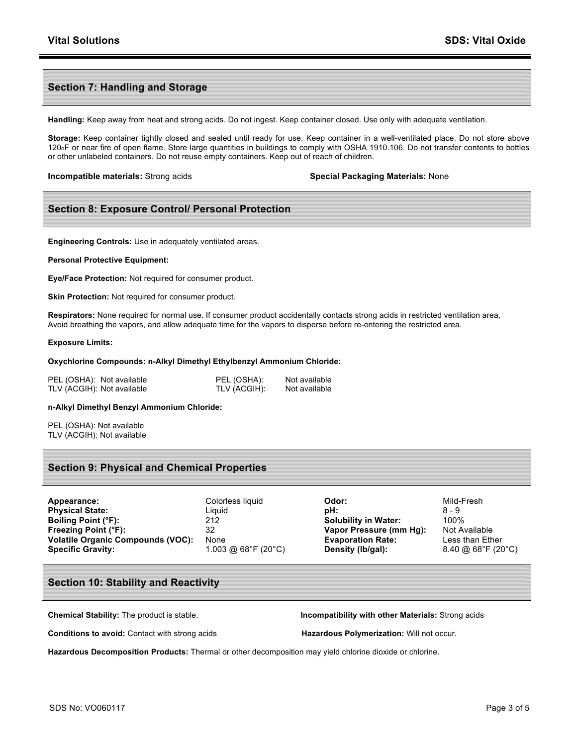## **Section 7: Handling and Storage**

**Handling:** Keep away from heat and strong acids. Do not ingest. Keep container closed. Use only with adequate ventilation.

**Storage:** Keep container tightly closed and sealed until ready for use. Keep container in a well-ventilated place. Do not store above 120oF or near fire of open flame. Store large quantities in buildings to comply with OSHA 1910.106. Do not transfer contents to bottles or other unlabeled containers. Do not reuse empty containers. Keep out of reach of children.

**Incompatible materials:** Strong acids **Special Packaging Materials:** None

## **Section 8: Exposure Control/ Personal Protection**

**Engineering Controls:** Use in adequately ventilated areas.

**Personal Protective Equipment:**

**Eye/Face Protection:** Not required for consumer product.

**Skin Protection:** Not required for consumer product.

**Respirators:** None required for normal use. If consumer product accidentally contacts strong acids in restricted ventilation area, Avoid breathing the vapors, and allow adequate time for the vapors to disperse before re-entering the restricted area.

#### **Exposure Limits:**

#### **Oxychlorine Compounds: n-Alkyl Dimethyl Ethylbenzyl Ammonium Chloride:**

| PEL (OSHA): Not available  | PEL (OSHA):  | Not available |
|----------------------------|--------------|---------------|
| TLV (ACGIH): Not available | TLV (ACGIH): | Not available |

#### **n-Alkyl Dimethyl Benzyl Ammonium Chloride:**

PEL (OSHA): Not available TLV (ACGIH): Not available

### **Section 9: Physical and Chemical Properties**

| Appearance:                              | Colorless liquid    | Odor:                       | Mild-Fresh                   |
|------------------------------------------|---------------------|-----------------------------|------------------------------|
| <b>Physical State:</b>                   | Liguid              | pH:                         | $8 - 9$                      |
| Boiling Point (°F):                      | 212                 | <b>Solubility in Water:</b> | 100%                         |
| Freezing Point (°F):                     | 32                  | Vapor Pressure (mm Hg):     | Not Availa                   |
| <b>Volatile Organic Compounds (VOC):</b> | None                | <b>Evaporation Rate:</b>    | Less than                    |
| <b>Specific Gravity:</b>                 | 1.003 @ 68°F (20°C) | Density (lb/gal):           | $8.40 \; \textcircled{a} 68$ |

**Solubility in Water:** 100% **Vapor Pressure (mm Hg):** Not Available **Evaporation Rate:** Less than Ether **Specific Gravity:** 1.003 @ 68°F (20°C) **Density (lb/gal):** 8.40 @ 68°F (20°C)

## **Section 10: Stability and Reactivity**

**Conditions to avoid:** Contact with strong acids **Hazardous Polymerization:** Will not occur.

**Chemical Stability:** The product is stable. **Incompatibility with other Materials:** Strong acids

**Hazardous Decomposition Products:** Thermal or other decomposition may yield chlorine dioxide or chlorine.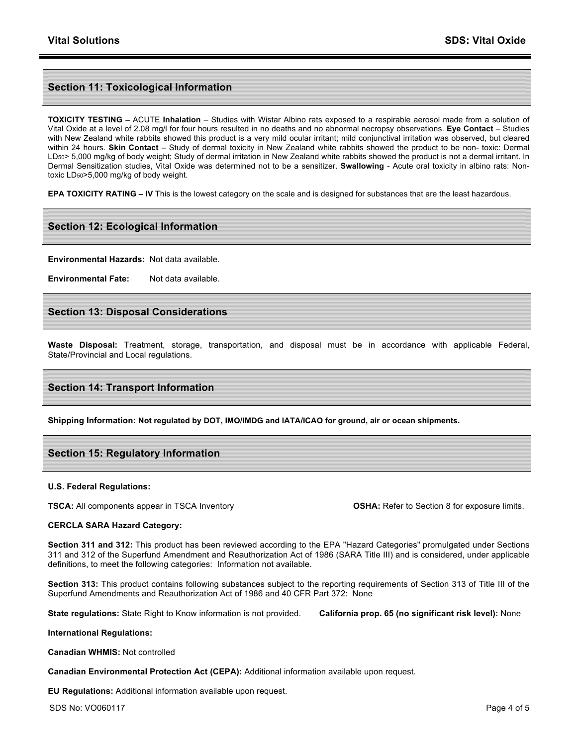## **Section 11: Toxicological Information**

**TOXICITY TESTING –** ACUTE **Inhalation** – Studies with Wistar Albino rats exposed to a respirable aerosol made from a solution of Vital Oxide at a level of 2.08 mg/l for four hours resulted in no deaths and no abnormal necropsy observations. **Eye Contact** – Studies with New Zealand white rabbits showed this product is a very mild ocular irritant; mild conjunctival irritation was observed, but cleared within 24 hours. **Skin Contact** – Study of dermal toxicity in New Zealand white rabbits showed the product to be non- toxic: Dermal LD<sub>50</sub>> 5,000 mg/kg of body weight; Study of dermal irritation in New Zealand white rabbits showed the product is not a dermal irritant. In Dermal Sensitization studies, Vital Oxide was determined not to be a sensitizer. **Swallowing** - Acute oral toxicity in albino rats: Nontoxic LD50>5,000 mg/kg of body weight.

**EPA TOXICITY RATING – IV** This is the lowest category on the scale and is designed for substances that are the least hazardous.

## **Section 12: Ecological Information**

**Environmental Hazards:** Not data available.

**Environmental Fate:** Not data available.

## **Section 13: Disposal Considerations**

**Waste Disposal:** Treatment, storage, transportation, and disposal must be in accordance with applicable Federal, State/Provincial and Local regulations.

## **Section 14: Transport Information**

**Shipping Information: Not regulated by DOT, IMO/IMDG and IATA/ICAO for ground, air or ocean shipments.**

## **Section 15: Regulatory Information**

#### **U.S. Federal Regulations:**

**TSCA:** All components appear in TSCA Inventory **COSHA:** Refer to Section 8 for exposure limits.

#### **CERCLA SARA Hazard Category:**

**Section 311 and 312:** This product has been reviewed according to the EPA "Hazard Categories" promulgated under Sections 311 and 312 of the Superfund Amendment and Reauthorization Act of 1986 (SARA Title III) and is considered, under applicable definitions, to meet the following categories: Information not available.

**Section 313:** This product contains following substances subject to the reporting requirements of Section 313 of Title III of the Superfund Amendments and Reauthorization Act of 1986 and 40 CFR Part 372: None

**State regulations:** State Right to Know information is not provided. **California prop. 65 (no significant risk level):** None

**International Regulations:** 

**Canadian WHMIS:** Not controlled

**Canadian Environmental Protection Act (CEPA):** Additional information available upon request.

**EU Regulations:** Additional information available upon request.